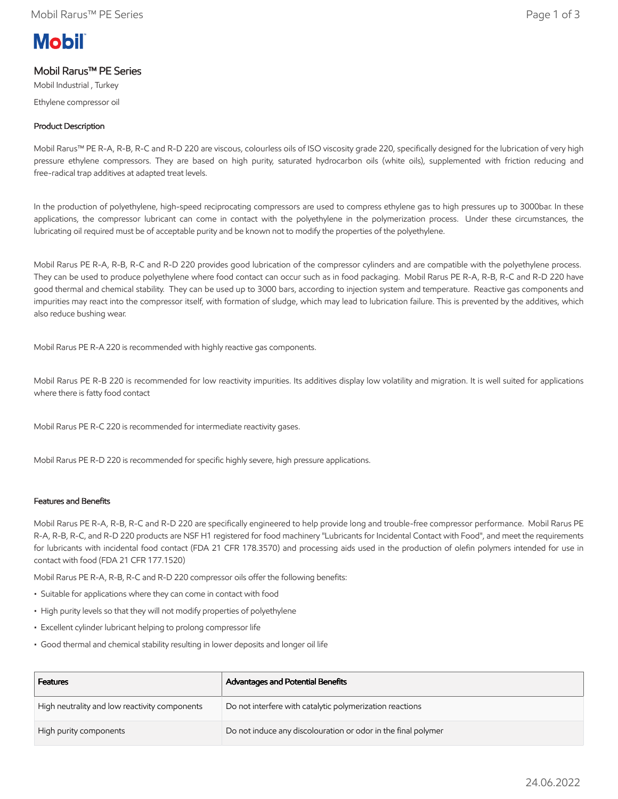# **Mobil**

# Mobil Rarus™ PE Series

Mobil Industrial , Turkey Ethylene compressor oil

# Product Description

Mobil Rarus™ PE R-A, R-B, R-C and R-D 220 are viscous, colourless oils of ISO viscosity grade 220, specifically designed for the lubrication of very high pressure ethylene compressors. They are based on high purity, saturated hydrocarbon oils (white oils), supplemented with friction reducing and free-radical trap additives at adapted treat levels.

In the production of polyethylene, high-speed reciprocating compressors are used to compress ethylene gas to high pressures up to 3000bar. In these applications, the compressor lubricant can come in contact with the polyethylene in the polymerization process. Under these circumstances, the lubricating oil required must be of acceptable purity and be known not to modify the properties of the polyethylene.

Mobil Rarus PE R-A, R-B, R-C and R-D 220 provides good lubrication of the compressor cylinders and are compatible with the polyethylene process. They can be used to produce polyethylene where food contact can occur such as in food packaging. Mobil Rarus PE R-A, R-B, R-C and R-D 220 have good thermal and chemical stability. They can be used up to 3000 bars, according to injection system and temperature. Reactive gas components and impurities may react into the compressor itself, with formation of sludge, which may lead to lubrication failure. This is prevented by the additives, which also reduce bushing wear.

Mobil Rarus PE R-A 220 is recommended with highly reactive gas components.

Mobil Rarus PE R-B 220 is recommended for low reactivity impurities. Its additives display low volatility and migration. It is well suited for applications where there is fatty food contact

Mobil Rarus PE R-C 220 is recommended for intermediate reactivity gases.

Mobil Rarus PE R-D 220 is recommended for specific highly severe, high pressure applications.

## Features and Benefits

Mobil Rarus PE R-A, R-B, R-C and R-D 220 are specifically engineered to help provide long and trouble-free compressor performance. Mobil Rarus PE R-A, R-B, R-C, and R-D 220 products are NSF H1 registered for food machinery "Lubricants for Incidental Contact with Food", and meet the requirements for lubricants with incidental food contact (FDA 21 CFR 178.3570) and processing aids used in the production of olefin polymers intended for use in contact with food (FDA 21 CFR 177.1520)

Mobil Rarus PE R-A, R-B, R-C and R-D 220 compressor oils offer the following benefits:

- Suitable for applications where they can come in contact with food
- High purity levels so that they will not modify properties of polyethylene
- Excellent cylinder lubricant helping to prolong compressor life
- Good thermal and chemical stability resulting in lower deposits and longer oil life

| <b>Features</b>                               | Advantages and Potential Benefits                             |
|-----------------------------------------------|---------------------------------------------------------------|
| High neutrality and low reactivity components | Do not interfere with catalytic polymerization reactions      |
| High purity components                        | Do not induce any discolouration or odor in the final polymer |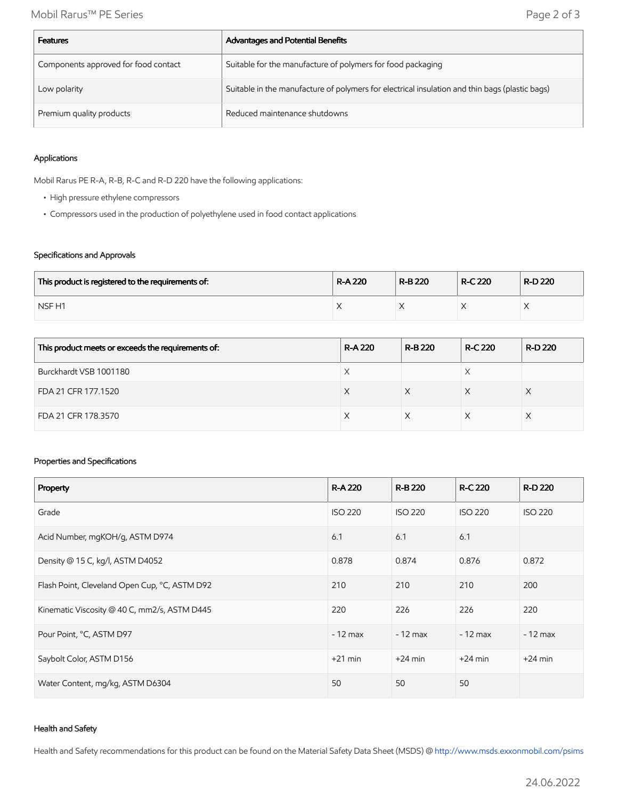| <b>Features</b>                      | Advantages and Potential Benefits                                                              |
|--------------------------------------|------------------------------------------------------------------------------------------------|
| Components approved for food contact | Suitable for the manufacture of polymers for food packaging                                    |
| Low polarity                         | Suitable in the manufacture of polymers for electrical insulation and thin bags (plastic bags) |
| Premium quality products             | Reduced maintenance shutdowns                                                                  |

#### Applications

Mobil Rarus PE R-A, R-B, R-C and R-D 220 have the following applications:

- High pressure ethylene compressors
- Compressors used in the production of polyethylene used in food contact applications

#### Specifications and Approvals

| This product is registered to the requirements of: | <b>R-A220</b> | R-B 220 | <b>R-C 220</b> | R-D 220 |
|----------------------------------------------------|---------------|---------|----------------|---------|
| NSF <sub>H1</sub>                                  |               |         |                |         |

| This product meets or exceeds the requirements of: | <b>R-A220</b> | <b>R-B220</b> | <b>R-C 220</b> | R-D 220 |
|----------------------------------------------------|---------------|---------------|----------------|---------|
| Burckhardt VSB 1001180                             |               |               |                |         |
| FDA 21 CFR 177.1520                                | X             |               |                |         |
| FDA 21 CFR 178.3570                                |               |               |                |         |

#### Properties and Specifications

| Property                                      | <b>R-A220</b>  | <b>R-B220</b>  | <b>R-C 220</b> | <b>R-D 220</b> |
|-----------------------------------------------|----------------|----------------|----------------|----------------|
| Grade                                         | <b>ISO 220</b> | <b>ISO 220</b> | <b>ISO 220</b> | <b>ISO 220</b> |
| Acid Number, mgKOH/g, ASTM D974               | 6.1            | 6.1            | 6.1            |                |
| Density @ 15 C, kg/l, ASTM D4052              | 0.878          | 0.874          | 0.876          | 0.872          |
| Flash Point, Cleveland Open Cup, °C, ASTM D92 | 210            | 210            | 210            | 200            |
| Kinematic Viscosity @ 40 C, mm2/s, ASTM D445  | 220            | 226            | 226            | 220            |
| Pour Point, °C, ASTM D97                      | $-12$ max      | $-12$ max      | $-12$ max      | $-12$ max      |
| Saybolt Color, ASTM D156                      | $+21$ min      | $+24$ min      | $+24$ min      | $+24$ min      |
| Water Content, mg/kg, ASTM D6304              | 50             | 50             | 50             |                |

#### Health and Safety

Health and Safety recommendations for this product can be found on the Material Safety Data Sheet (MSDS) @ [http://www.msds.exxonmobil.com/psims](http://www.msds.exxonmobil.com/psims/psims.aspx)